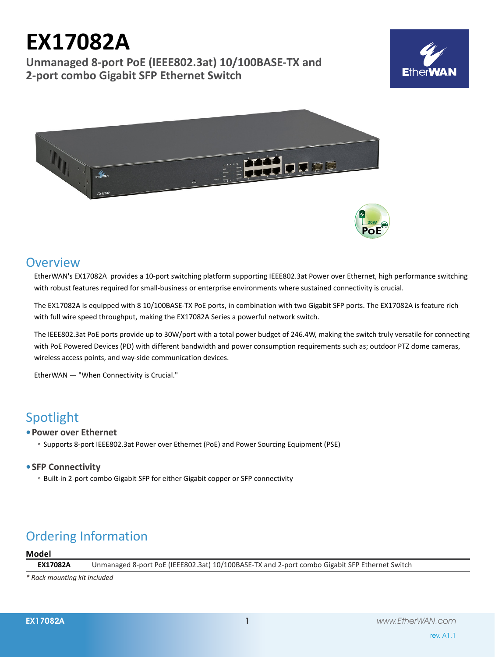# **EX17082A**

**Unmanaged 8-port PoE (IEEE802.3at) 10/100BASE-TX and 2-port combo Gigabit SFP Ethernet Switch**





# **Overview**

EtherWAN's EX17082A provides a 10-port switching platform supporting IEEE802.3at Power over Ethernet, high performance switching with robust features required for small-business or enterprise environments where sustained connectivity is crucial.

The EX17082A is equipped with 8 10/100BASE-TX PoE ports, in combination with two Gigabit SFP ports. The EX17082A is feature rich with full wire speed throughput, making the EX17082A Series a powerful network switch.

The IEEE802.3at PoE ports provide up to 30W/port with a total power budget of 246.4W, making the switch truly versatile for connecting with PoE Powered Devices (PD) with different bandwidth and power consumption requirements such as; outdoor PTZ dome cameras, wireless access points, and way-side communication devices.

EtherWAN — "When Connectivity is Crucial."

# Spotlight

# **• Power over Ethernet**

◦ Supports 8-port IEEE802.3at Power over Ethernet (PoE) and Power Sourcing Equipment (PSE)

# **• SFP Connectivity**

◦ Built-in 2-port combo Gigabit SFP for either Gigabit copper or SFP connectivity

# Ordering Information

### **Model**

**EX17082A** Unmanaged 8-port PoE (IEEE802.3at) 10/100BASE-TX and 2-port combo Gigabit SFP Ethernet Switch

*\* Rack mounting kit included*